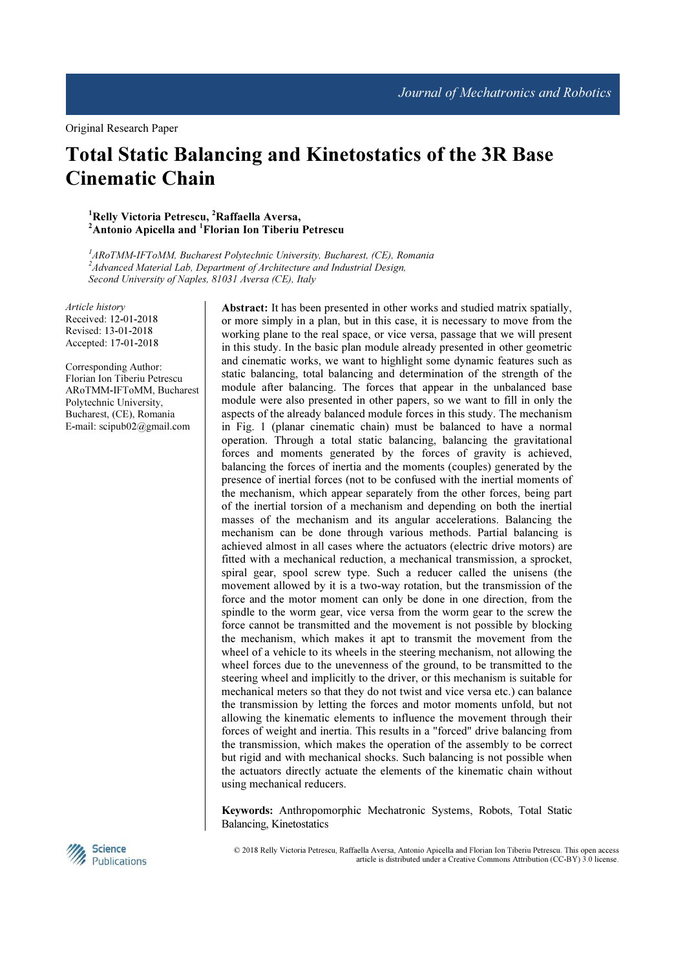# Total Static Balancing and Kinetostatics of the 3R Base Cinematic Chain

<sup>1</sup>Relly Victoria Petrescu, <sup>2</sup>Raffaella Aversa, <sup>2</sup>Antonio Apicella and <sup>1</sup>Florian Ion Tiberiu Petrescu

 $1<sup>I</sup>ARo TMM-IFTo MM$ , Bucharest Polytechnic University, Bucharest, (CE), Romania  $2A$ dvanced Material Lab, Department of Architecture and Industrial Design, Second University of Naples, 81031 Aversa (CE), Italy

Article history Received: 12-01-2018 Revised: 13-01-2018 Accepted: 17-01-2018

Corresponding Author: Florian Ion Tiberiu Petrescu ARoTMM-IFToMM, Bucharest Polytechnic University, Bucharest, (CE), Romania E-mail: scipub02@gmail.com

Abstract: It has been presented in other works and studied matrix spatially, or more simply in a plan, but in this case, it is necessary to move from the working plane to the real space, or vice versa, passage that we will present in this study. In the basic plan module already presented in other geometric and cinematic works, we want to highlight some dynamic features such as static balancing, total balancing and determination of the strength of the module after balancing. The forces that appear in the unbalanced base module were also presented in other papers, so we want to fill in only the aspects of the already balanced module forces in this study. The mechanism in Fig. 1 (planar cinematic chain) must be balanced to have a normal operation. Through a total static balancing, balancing the gravitational forces and moments generated by the forces of gravity is achieved, balancing the forces of inertia and the moments (couples) generated by the presence of inertial forces (not to be confused with the inertial moments of the mechanism, which appear separately from the other forces, being part of the inertial torsion of a mechanism and depending on both the inertial masses of the mechanism and its angular accelerations. Balancing the mechanism can be done through various methods. Partial balancing is achieved almost in all cases where the actuators (electric drive motors) are fitted with a mechanical reduction, a mechanical transmission, a sprocket, spiral gear, spool screw type. Such a reducer called the unisens (the movement allowed by it is a two-way rotation, but the transmission of the force and the motor moment can only be done in one direction, from the spindle to the worm gear, vice versa from the worm gear to the screw the force cannot be transmitted and the movement is not possible by blocking the mechanism, which makes it apt to transmit the movement from the wheel of a vehicle to its wheels in the steering mechanism, not allowing the wheel forces due to the unevenness of the ground, to be transmitted to the steering wheel and implicitly to the driver, or this mechanism is suitable for mechanical meters so that they do not twist and vice versa etc.) can balance the transmission by letting the forces and motor moments unfold, but not allowing the kinematic elements to influence the movement through their forces of weight and inertia. This results in a "forced" drive balancing from the transmission, which makes the operation of the assembly to be correct but rigid and with mechanical shocks. Such balancing is not possible when the actuators directly actuate the elements of the kinematic chain without using mechanical reducers.

Keywords: Anthropomorphic Mechatronic Systems, Robots, Total Static Balancing, Kinetostatics



© 2018 Relly Victoria Petrescu, Raffaella Aversa, Antonio Apicella and Florian Ion Tiberiu Petrescu. This open access article is distributed under a Creative Commons Attribution (CC-BY) 3.0 license.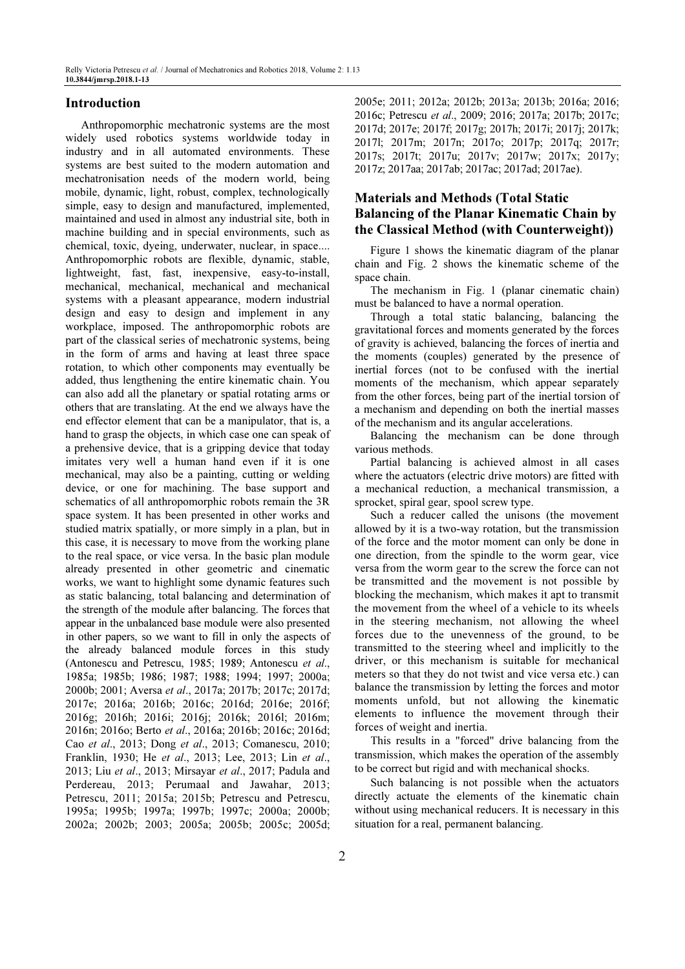## Introduction

Anthropomorphic mechatronic systems are the most widely used robotics systems worldwide today in industry and in all automated environments. These systems are best suited to the modern automation and mechatronisation needs of the modern world, being mobile, dynamic, light, robust, complex, technologically simple, easy to design and manufactured, implemented, maintained and used in almost any industrial site, both in machine building and in special environments, such as chemical, toxic, dyeing, underwater, nuclear, in space.... Anthropomorphic robots are flexible, dynamic, stable, lightweight, fast, fast, inexpensive, easy-to-install, mechanical, mechanical, mechanical and mechanical systems with a pleasant appearance, modern industrial design and easy to design and implement in any workplace, imposed. The anthropomorphic robots are part of the classical series of mechatronic systems, being in the form of arms and having at least three space rotation, to which other components may eventually be added, thus lengthening the entire kinematic chain. You can also add all the planetary or spatial rotating arms or others that are translating. At the end we always have the end effector element that can be a manipulator, that is, a hand to grasp the objects, in which case one can speak of a prehensive device, that is a gripping device that today imitates very well a human hand even if it is one mechanical, may also be a painting, cutting or welding device, or one for machining. The base support and schematics of all anthropomorphic robots remain the 3R space system. It has been presented in other works and studied matrix spatially, or more simply in a plan, but in this case, it is necessary to move from the working plane to the real space, or vice versa. In the basic plan module already presented in other geometric and cinematic works, we want to highlight some dynamic features such as static balancing, total balancing and determination of the strength of the module after balancing. The forces that appear in the unbalanced base module were also presented in other papers, so we want to fill in only the aspects of the already balanced module forces in this study (Antonescu and Petrescu, 1985; 1989; Antonescu et al., 1985a; 1985b; 1986; 1987; 1988; 1994; 1997; 2000a; 2000b; 2001; Aversa et al., 2017a; 2017b; 2017c; 2017d; 2017e; 2016a; 2016b; 2016c; 2016d; 2016e; 2016f; 2016g; 2016h; 2016i; 2016j; 2016k; 2016l; 2016m; 2016n; 2016o; Berto et al., 2016a; 2016b; 2016c; 2016d; Cao et al., 2013; Dong et al., 2013; Comanescu, 2010; Franklin, 1930; He et al., 2013; Lee, 2013; Lin et al., 2013; Liu et al., 2013; Mirsayar et al., 2017; Padula and Perdereau, 2013; Perumaal and Jawahar, 2013; Petrescu, 2011; 2015a; 2015b; Petrescu and Petrescu, 1995a; 1995b; 1997a; 1997b; 1997c; 2000a; 2000b; 2002a; 2002b; 2003; 2005a; 2005b; 2005c; 2005d;

2005e; 2011; 2012a; 2012b; 2013a; 2013b; 2016a; 2016; 2016c; Petrescu et al., 2009; 2016; 2017a; 2017b; 2017c; 2017d; 2017e; 2017f; 2017g; 2017h; 2017i; 2017j; 2017k; 2017l; 2017m; 2017n; 2017o; 2017p; 2017q; 2017r; 2017s; 2017t; 2017u; 2017v; 2017w; 2017x; 2017y; 2017z; 2017aa; 2017ab; 2017ac; 2017ad; 2017ae).

# Materials and Methods (Total Static Balancing of the Planar Kinematic Chain by the Classical Method (with Counterweight))

Figure 1 shows the kinematic diagram of the planar chain and Fig. 2 shows the kinematic scheme of the space chain.

The mechanism in Fig. 1 (planar cinematic chain) must be balanced to have a normal operation.

Through a total static balancing, balancing the gravitational forces and moments generated by the forces of gravity is achieved, balancing the forces of inertia and the moments (couples) generated by the presence of inertial forces (not to be confused with the inertial moments of the mechanism, which appear separately from the other forces, being part of the inertial torsion of a mechanism and depending on both the inertial masses of the mechanism and its angular accelerations.

Balancing the mechanism can be done through various methods.

Partial balancing is achieved almost in all cases where the actuators (electric drive motors) are fitted with a mechanical reduction, a mechanical transmission, a sprocket, spiral gear, spool screw type.

Such a reducer called the unisons (the movement allowed by it is a two-way rotation, but the transmission of the force and the motor moment can only be done in one direction, from the spindle to the worm gear, vice versa from the worm gear to the screw the force can not be transmitted and the movement is not possible by blocking the mechanism, which makes it apt to transmit the movement from the wheel of a vehicle to its wheels in the steering mechanism, not allowing the wheel forces due to the unevenness of the ground, to be transmitted to the steering wheel and implicitly to the driver, or this mechanism is suitable for mechanical meters so that they do not twist and vice versa etc.) can balance the transmission by letting the forces and motor moments unfold, but not allowing the kinematic elements to influence the movement through their forces of weight and inertia.

This results in a "forced" drive balancing from the transmission, which makes the operation of the assembly to be correct but rigid and with mechanical shocks.

Such balancing is not possible when the actuators directly actuate the elements of the kinematic chain without using mechanical reducers. It is necessary in this situation for a real, permanent balancing.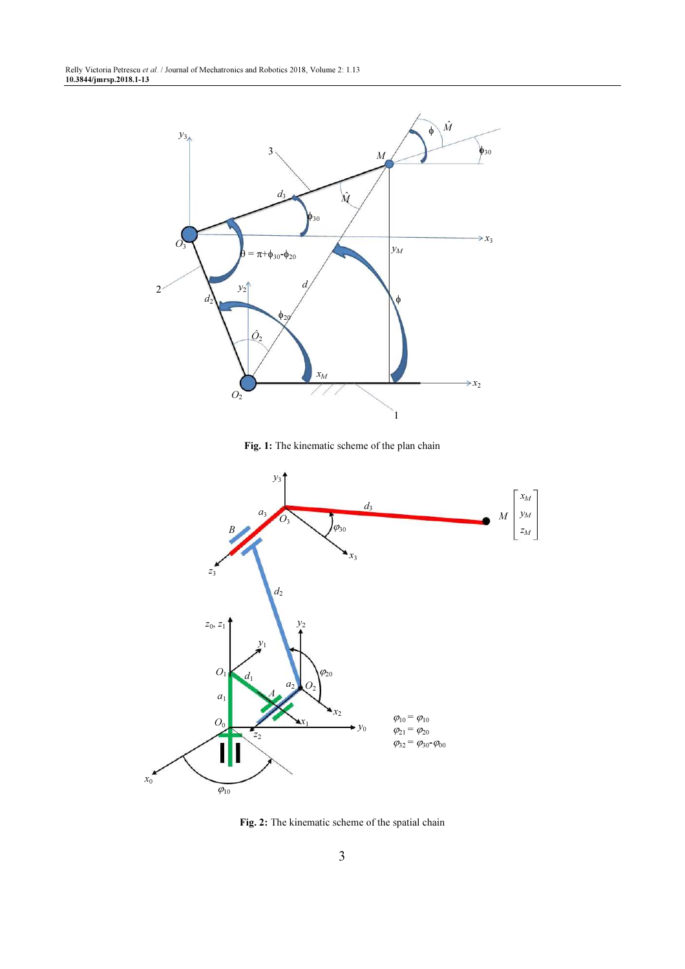

Fig. 1: The kinematic scheme of the plan chain



Fig. 2: The kinematic scheme of the spatial chain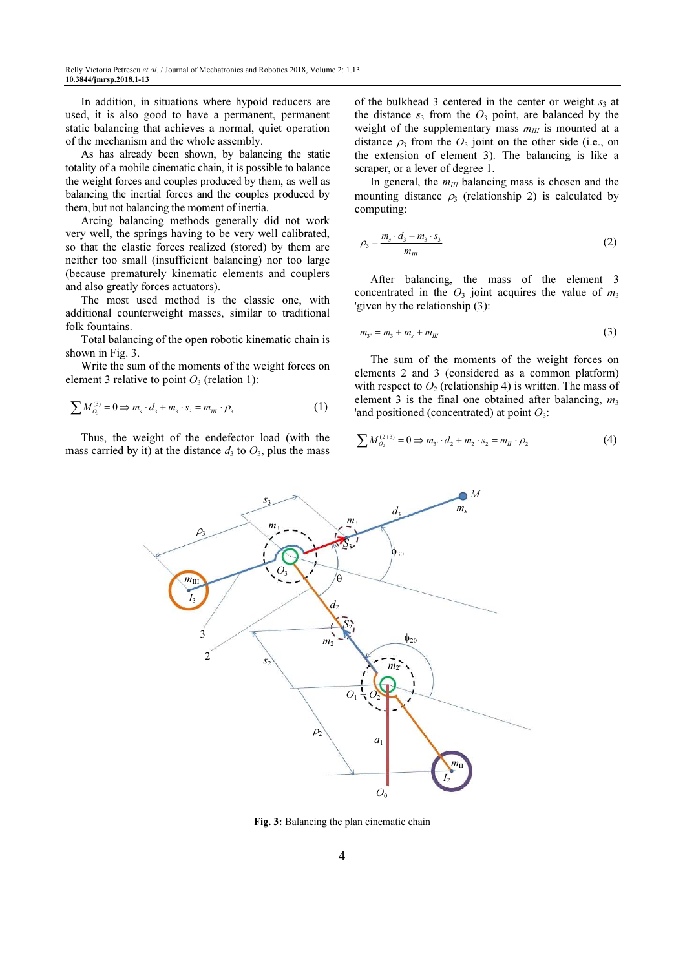In addition, in situations where hypoid reducers are used, it is also good to have a permanent, permanent static balancing that achieves a normal, quiet operation of the mechanism and the whole assembly.

As has already been shown, by balancing the static totality of a mobile cinematic chain, it is possible to balance the weight forces and couples produced by them, as well as balancing the inertial forces and the couples produced by them, but not balancing the moment of inertia.

Arcing balancing methods generally did not work very well, the springs having to be very well calibrated, so that the elastic forces realized (stored) by them are neither too small (insufficient balancing) nor too large (because prematurely kinematic elements and couplers and also greatly forces actuators).

The most used method is the classic one, with additional counterweight masses, similar to traditional folk fountains.

Total balancing of the open robotic kinematic chain is shown in Fig. 3.

Write the sum of the moments of the weight forces on element 3 relative to point  $O_3$  (relation 1):

$$
\sum M_{O_3}^{(3)} = 0 \Rightarrow m_s \cdot d_3 + m_3 \cdot s_3 = m_{III} \cdot \rho_3 \tag{1}
$$

Thus, the weight of the endefector load (with the mass carried by it) at the distance  $d_3$  to  $O_3$ , plus the mass of the bulkhead 3 centered in the center or weight  $s_3$  at the distance  $s_3$  from the  $O_3$  point, are balanced by the weight of the supplementary mass  $m_{III}$  is mounted at a distance  $\rho_3$  from the  $O_3$  joint on the other side (i.e., on the extension of element 3). The balancing is like a scraper, or a lever of degree 1.

In general, the  $m_{III}$  balancing mass is chosen and the mounting distance  $\rho_3$  (relationship 2) is calculated by computing:

$$
\rho_3 = \frac{m_s \cdot d_3 + m_3 \cdot s_3}{m_{\text{III}}}
$$
\n(2)

After balancing, the mass of the element 3 concentrated in the  $O_3$  joint acquires the value of  $m_3$ 'given by the relationship (3):

$$
m_{3} = m_{3} + m_{s} + m_{III} \tag{3}
$$

The sum of the moments of the weight forces on elements 2 and 3 (considered as a common platform) with respect to  $O_2$  (relationship 4) is written. The mass of element 3 is the final one obtained after balancing,  $m_3$ 'and positioned (concentrated) at point  $O_3$ :

$$
\sum M_{O_2}^{(2+3)} = 0 \Rightarrow m_{3'} \cdot d_2 + m_2 \cdot s_2 = m_{II} \cdot \rho_2 \tag{4}
$$



Fig. 3: Balancing the plan cinematic chain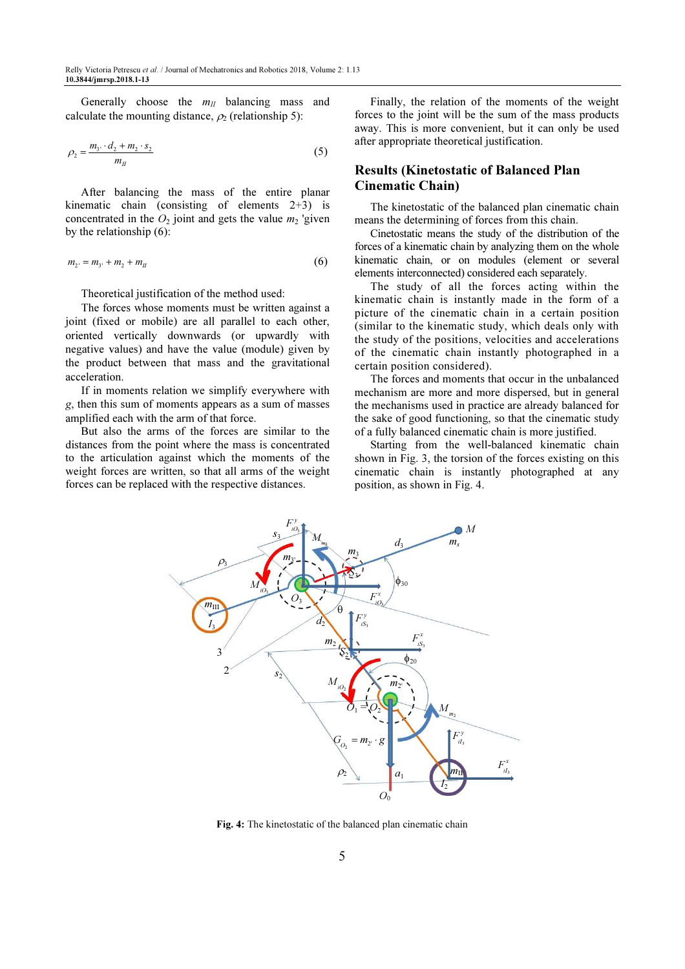Generally choose the  $m_{II}$  balancing mass and calculate the mounting distance,  $\rho_2$  (relationship 5):

$$
\rho_2 = \frac{m_3 \cdot d_2 + m_2 \cdot s_2}{m_H} \tag{5}
$$

After balancing the mass of the entire planar kinematic chain (consisting of elements  $2+3$ ) is concentrated in the  $O_2$  joint and gets the value  $m_2$  'given by the relationship (6):

$$
m_{2'} = m_{3'} + m_2 + m_{II} \tag{6}
$$

Theoretical justification of the method used:

The forces whose moments must be written against a joint (fixed or mobile) are all parallel to each other, oriented vertically downwards (or upwardly with negative values) and have the value (module) given by the product between that mass and the gravitational acceleration.

If in moments relation we simplify everywhere with g, then this sum of moments appears as a sum of masses amplified each with the arm of that force.

But also the arms of the forces are similar to the distances from the point where the mass is concentrated to the articulation against which the moments of the weight forces are written, so that all arms of the weight forces can be replaced with the respective distances.

Finally, the relation of the moments of the weight forces to the joint will be the sum of the mass products away. This is more convenient, but it can only be used after appropriate theoretical justification.

# Results (Kinetostatic of Balanced Plan Cinematic Chain)

The kinetostatic of the balanced plan cinematic chain means the determining of forces from this chain.

Cinetostatic means the study of the distribution of the forces of a kinematic chain by analyzing them on the whole kinematic chain, or on modules (element or several elements interconnected) considered each separately.

The study of all the forces acting within the kinematic chain is instantly made in the form of a picture of the cinematic chain in a certain position (similar to the kinematic study, which deals only with the study of the positions, velocities and accelerations of the cinematic chain instantly photographed in a certain position considered).

The forces and moments that occur in the unbalanced mechanism are more and more dispersed, but in general the mechanisms used in practice are already balanced for the sake of good functioning, so that the cinematic study of a fully balanced cinematic chain is more justified.

Starting from the well-balanced kinematic chain shown in Fig. 3, the torsion of the forces existing on this cinematic chain is instantly photographed at any position, as shown in Fig. 4.



Fig. 4: The kinetostatic of the balanced plan cinematic chain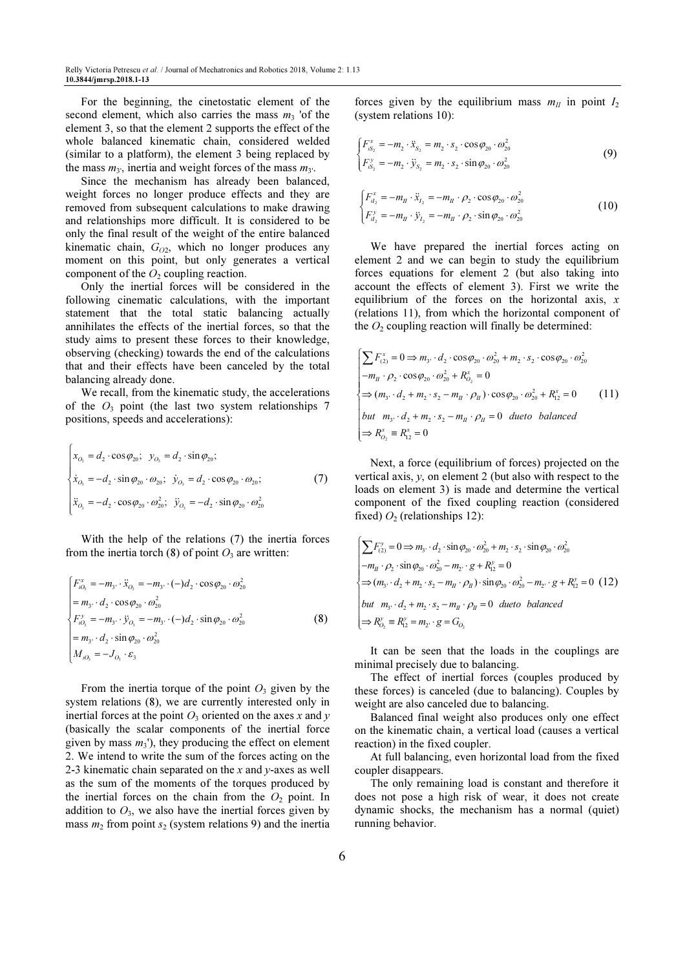For the beginning, the cinetostatic element of the second element, which also carries the mass  $m_3$  'of the element 3, so that the element 2 supports the effect of the whole balanced kinematic chain, considered welded (similar to a platform), the element 3 being replaced by the mass  $m_3$ , inertia and weight forces of the mass  $m_3$ .

Since the mechanism has already been balanced, weight forces no longer produce effects and they are removed from subsequent calculations to make drawing and relationships more difficult. It is considered to be only the final result of the weight of the entire balanced kinematic chain,  $G_{O2}$ , which no longer produces any moment on this point, but only generates a vertical component of the  $O_2$  coupling reaction.

Only the inertial forces will be considered in the following cinematic calculations, with the important statement that the total static balancing actually annihilates the effects of the inertial forces, so that the study aims to present these forces to their knowledge, observing (checking) towards the end of the calculations that and their effects have been canceled by the total balancing already done.

We recall, from the kinematic study, the accelerations of the  $O_3$  point (the last two system relationships 7 positions, speeds and accelerations):

$$
\begin{cases}\nx_{O_3} = d_2 \cdot \cos \varphi_{20}; \quad y_{O_3} = d_2 \cdot \sin \varphi_{20}; \\
\dot{x}_{O_3} = -d_2 \cdot \sin \varphi_{20} \cdot \omega_{20}; \quad \dot{y}_{O_3} = d_2 \cdot \cos \varphi_{20} \cdot \omega_{20}; \\
\ddot{x}_{O_3} = -d_2 \cdot \cos \varphi_{20} \cdot \omega_{20}^2; \quad \ddot{y}_{O_3} = -d_2 \cdot \sin \varphi_{20} \cdot \omega_{20}^2\n\end{cases}
$$
\n(7)

With the help of the relations (7) the inertia forces from the inertia torch (8) of point  $O_3$  are written:

$$
\begin{cases}\nF_{iO_3}^x = -m_3 \cdot \ddot{x}_{O_3} = -m_3 \cdot (-)d_2 \cdot \cos \varphi_{20} \cdot \omega_{20}^2 \\
= m_3 \cdot d_2 \cdot \cos \varphi_{20} \cdot \omega_{20}^2 \\
F_{iO_3}^y = -m_3 \cdot \ddot{y}_{O_3} = -m_3 \cdot (-)d_2 \cdot \sin \varphi_{20} \cdot \omega_{20}^2 \\
= m_3 \cdot d_2 \cdot \sin \varphi_{20} \cdot \omega_{20}^2 \\
M_{iO_3} = -J_{O_3} \cdot \varepsilon_3\n\end{cases}
$$
\n(8)

From the inertia torque of the point  $O_3$  given by the system relations (8), we are currently interested only in inertial forces at the point  $O_3$  oriented on the axes x and y (basically the scalar components of the inertial force given by mass  $m_3$ <sup>'</sup>), they producing the effect on element 2. We intend to write the sum of the forces acting on the 2-3 kinematic chain separated on the  $x$  and  $y$ -axes as well as the sum of the moments of the torques produced by the inertial forces on the chain from the  $O_2$  point. In addition to  $O_3$ , we also have the inertial forces given by mass  $m_2$  from point  $s_2$  (system relations 9) and the inertia

forces given by the equilibrium mass  $m<sub>II</sub>$  in point  $I<sub>2</sub>$ (system relations 10):

$$
\begin{cases}\nF_{iS_2}^x = -m_2 \cdot \ddot{x}_{S_2} = m_2 \cdot s_2 \cdot \cos \varphi_{20} \cdot \omega_{20}^2 \\
F_{iS_2}^y = -m_2 \cdot \ddot{y}_{S_2} = m_2 \cdot s_2 \cdot \sin \varphi_{20} \cdot \omega_{20}^2\n\end{cases}
$$
\n(9)

$$
\begin{cases}\nF_{u_2}^* = -m_{II} \cdot \ddot{x}_{I_2} = -m_{II} \cdot \rho_2 \cdot \cos \varphi_{20} \cdot \omega_{20}^2 \\
F_{u_2}^* = -m_{II} \cdot \ddot{y}_{I_2} = -m_{II} \cdot \rho_2 \cdot \sin \varphi_{20} \cdot \omega_{20}^2\n\end{cases}
$$
\n(10)

We have prepared the inertial forces acting on element 2 and we can begin to study the equilibrium forces equations for element 2 (but also taking into account the effects of element 3). First we write the equilibrium of the forces on the horizontal axis,  $x$ (relations 11), from which the horizontal component of the  $O_2$  coupling reaction will finally be determined:

$$
\begin{cases}\n\sum F_{(2)}^x = 0 \Rightarrow m_3 \cdot d_2 \cdot \cos \varphi_{20} \cdot \omega_{20}^2 + m_2 \cdot s_2 \cdot \cos \varphi_{20} \cdot \omega_{20}^2 \\
-m_H \cdot \rho_2 \cdot \cos \varphi_{20} \cdot \omega_{20}^2 + R_{o_2}^x = 0 \\
\Rightarrow (m_3 \cdot d_2 + m_2 \cdot s_2 - m_H \cdot \rho_H) \cdot \cos \varphi_{20} \cdot \omega_{20}^2 + R_{12}^x = 0 \qquad (11) \\
but \ m_3 \cdot d_2 + m_2 \cdot s_2 - m_H \cdot \rho_H = 0 \quad due to \ balanced \\
\Rightarrow R_{o_2}^x = R_{12}^x = 0\n\end{cases}
$$

Next, a force (equilibrium of forces) projected on the vertical axis,  $y$ , on element 2 (but also with respect to the loads on element 3) is made and determine the vertical component of the fixed coupling reaction (considered fixed)  $O<sub>2</sub>$  (relationships 12):

$$
\begin{cases}\n\sum F_{(2)}^y = 0 \Rightarrow m_3 \cdot d_2 \cdot \sin \varphi_{20} \cdot \omega_{20}^2 + m_2 \cdot s_2 \cdot \sin \varphi_{20} \cdot \omega_{20}^2 \\
-m_{II} \cdot \varphi_2 \cdot \sin \varphi_{20} \cdot \omega_{20}^2 - m_{2} \cdot g + R_{12}^y = 0 \\
\Rightarrow (m_3 \cdot d_2 + m_2 \cdot s_2 - m_{II} \cdot \varphi_{II}) \cdot \sin \varphi_{20} \cdot \omega_{20}^2 - m_{2} \cdot g + R_{12}^y = 0 \quad (12) \\
but \ m_3 \cdot d_2 + m_2 \cdot s_2 - m_{II} \cdot \varphi_{II} = 0 \quad due to \ balanced \\
\Rightarrow R_{0_2}^y \equiv R_{12}^y = m_{2} \cdot g = G_{0_2}\n\end{cases}
$$

It can be seen that the loads in the couplings are minimal precisely due to balancing.

The effect of inertial forces (couples produced by these forces) is canceled (due to balancing). Couples by weight are also canceled due to balancing.

Balanced final weight also produces only one effect on the kinematic chain, a vertical load (causes a vertical reaction) in the fixed coupler.

At full balancing, even horizontal load from the fixed coupler disappears.

The only remaining load is constant and therefore it does not pose a high risk of wear, it does not create dynamic shocks, the mechanism has a normal (quiet) running behavior.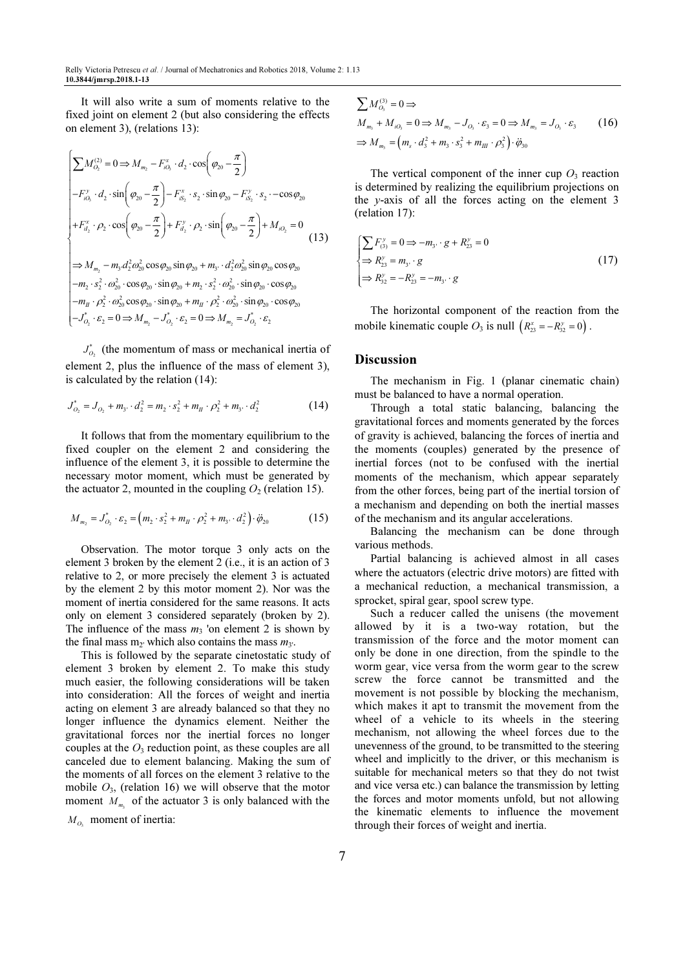Relly Victoria Petrescu et al. / Journal of Mechatronics and Robotics 2018, Volume 2: 1.13 10.3844/jmrsp.2018.1-13

It will also write a sum of moments relative to the fixed joint on element 2 (but also considering the effects on element 3), (relations 13):

$$
\begin{cases}\n\sum M_{O_2}^{(2)} = 0 \Rightarrow M_{m_2} - F_{iO_3}^x \cdot d_2 \cdot \cos\left(\varphi_{20} - \frac{\pi}{2}\right) \\
-F_{iO_3}^y \cdot d_2 \cdot \sin\left(\varphi_{20} - \frac{\pi}{2}\right) - F_{iS_2}^x \cdot s_2 \cdot \sin\varphi_{20} - F_{iS_2}^y \cdot s_2 \cdot -\cos\varphi_{20} \\
+ F_{iI_2}^x \cdot \rho_2 \cdot \cos\left(\varphi_{20} - \frac{\pi}{2}\right) + F_{iI_2}^y \cdot \rho_2 \cdot \sin\left(\varphi_{20} - \frac{\pi}{2}\right) + M_{iO_2} = 0 \\
\Rightarrow M_{m_2} - m_3 d_2^2 \omega_{20}^2 \cos\varphi_{20} \sin\varphi_{20} + m_3 \cdot d_2^2 \omega_{20}^2 \sin\varphi_{20} \cos\varphi_{20} \\
-m_2 \cdot s_2^2 \cdot \omega_{20}^2 \cdot \cos\varphi_{20} \cdot \sin\varphi_{20} + m_2 \cdot s_2^2 \cdot \omega_{20}^2 \cdot \sin\varphi_{20} \cdot \cos\varphi_{20} \\
-m_H \cdot \rho_2^2 \cdot \omega_{20}^2 \cos\varphi_{20} \cdot \sin\varphi_{20} + m_H \cdot \rho_2^2 \cdot \omega_{20}^2 \cdot \sin\varphi_{20} \cdot \cos\varphi_{20} \\
-J_{O_2}^* \cdot \varepsilon_2 = 0 \Rightarrow M_{m_2} - J_{O_2}^* \cdot \varepsilon_2 = 0 \Rightarrow M_{m_2} = J_{O_2}^* \cdot \varepsilon_2\n\end{cases} (13)
$$

 $J_{o_2}^*$  (the momentum of mass or mechanical inertia of element 2, plus the influence of the mass of element 3), is calculated by the relation (14):

$$
J_{\rho_2}^* = J_{\rho_2} + m_{3'} \cdot d_2^2 = m_2 \cdot s_2^2 + m_{II} \cdot \rho_2^2 + m_{3'} \cdot d_2^2 \tag{14}
$$

It follows that from the momentary equilibrium to the fixed coupler on the element 2 and considering the influence of the element 3, it is possible to determine the necessary motor moment, which must be generated by the actuator 2, mounted in the coupling  $O_2$  (relation 15).

$$
M_{m_2} = J_{0_2}^* \cdot \varepsilon_2 = (m_2 \cdot s_2^2 + m_H \cdot \rho_2^2 + m_3 \cdot d_2^2) \cdot \ddot{\varphi}_{20}
$$
 (15)

Observation. The motor torque 3 only acts on the element 3 broken by the element 2 (i.e., it is an action of 3 relative to 2, or more precisely the element 3 is actuated by the element 2 by this motor moment 2). Nor was the moment of inertia considered for the same reasons. It acts only on element 3 considered separately (broken by 2). The influence of the mass  $m_3$  'on element 2 is shown by the final mass  $m<sub>2</sub>$  which also contains the mass  $m<sub>3</sub>$ .

This is followed by the separate cinetostatic study of element 3 broken by element 2. To make this study much easier, the following considerations will be taken into consideration: All the forces of weight and inertia acting on element 3 are already balanced so that they no longer influence the dynamics element. Neither the gravitational forces nor the inertial forces no longer couples at the  $O_3$  reduction point, as these couples are all canceled due to element balancing. Making the sum of the moments of all forces on the element 3 relative to the mobile  $O_3$ , (relation 16) we will observe that the motor moment  $M_{m_3}$  of the actuator 3 is only balanced with the  $M_{O_3}$  moment of inertia:

$$
\sum M_{O_3}^{(3)} = 0 \Rightarrow
$$
  
\n
$$
M_{m_3} + M_{iO_3} = 0 \Rightarrow M_{m_3} - J_{O_3} \cdot \varepsilon_3 = 0 \Rightarrow M_{m_3} = J_{O_3} \cdot \varepsilon_3
$$
 (16)  
\n
$$
\Rightarrow M_{m_3} = (m_s \cdot d_3^2 + m_3 \cdot s_3^2 + m_{III} \cdot \rho_3^2) \cdot \ddot{\varphi}_{30}
$$

The vertical component of the inner cup  $O_3$  reaction is determined by realizing the equilibrium projections on the  $v$ -axis of all the forces acting on the element 3 (relation 17):

$$
\begin{cases}\n\sum F_{(3)}^y = 0 \Rightarrow -m_{3'} \cdot g + R_{23}^y = 0 \\
\Rightarrow R_{23}^y = m_{3'} \cdot g \\
\Rightarrow R_{32}^y = -R_{23}^y = -m_{3'} \cdot g\n\end{cases}
$$
\n(17)

The horizontal component of the reaction from the mobile kinematic couple  $O_3$  is null  $(R_{23}^x = -R_{32}^y = 0)$ .

# Discussion

The mechanism in Fig. 1 (planar cinematic chain) must be balanced to have a normal operation.

Through a total static balancing, balancing the gravitational forces and moments generated by the forces of gravity is achieved, balancing the forces of inertia and the moments (couples) generated by the presence of inertial forces (not to be confused with the inertial moments of the mechanism, which appear separately from the other forces, being part of the inertial torsion of a mechanism and depending on both the inertial masses of the mechanism and its angular accelerations.

Balancing the mechanism can be done through various methods.

Partial balancing is achieved almost in all cases where the actuators (electric drive motors) are fitted with a mechanical reduction, a mechanical transmission, a sprocket, spiral gear, spool screw type.

Such a reducer called the unisens (the movement allowed by it is a two-way rotation, but the transmission of the force and the motor moment can only be done in one direction, from the spindle to the worm gear, vice versa from the worm gear to the screw screw the force cannot be transmitted and the movement is not possible by blocking the mechanism, which makes it apt to transmit the movement from the wheel of a vehicle to its wheels in the steering mechanism, not allowing the wheel forces due to the unevenness of the ground, to be transmitted to the steering wheel and implicitly to the driver, or this mechanism is suitable for mechanical meters so that they do not twist and vice versa etc.) can balance the transmission by letting the forces and motor moments unfold, but not allowing the kinematic elements to influence the movement through their forces of weight and inertia.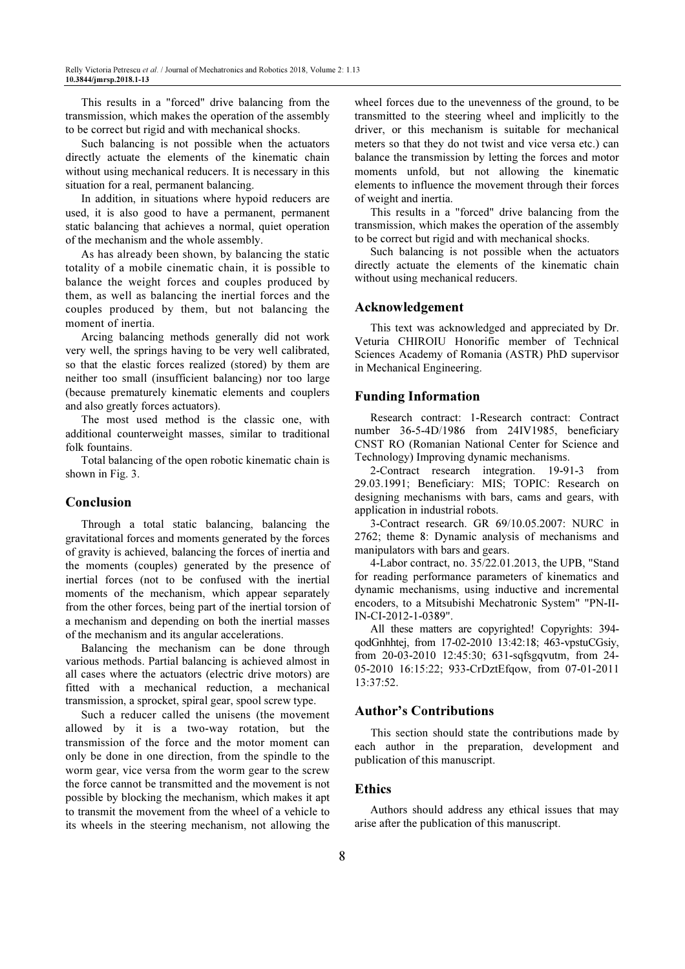This results in a "forced" drive balancing from the transmission, which makes the operation of the assembly to be correct but rigid and with mechanical shocks.

Such balancing is not possible when the actuators directly actuate the elements of the kinematic chain without using mechanical reducers. It is necessary in this situation for a real, permanent balancing.

In addition, in situations where hypoid reducers are used, it is also good to have a permanent, permanent static balancing that achieves a normal, quiet operation of the mechanism and the whole assembly.

As has already been shown, by balancing the static totality of a mobile cinematic chain, it is possible to balance the weight forces and couples produced by them, as well as balancing the inertial forces and the couples produced by them, but not balancing the moment of inertia.

Arcing balancing methods generally did not work very well, the springs having to be very well calibrated, so that the elastic forces realized (stored) by them are neither too small (insufficient balancing) nor too large (because prematurely kinematic elements and couplers and also greatly forces actuators).

The most used method is the classic one, with additional counterweight masses, similar to traditional folk fountains.

Total balancing of the open robotic kinematic chain is shown in Fig. 3.

## Conclusion

Through a total static balancing, balancing the gravitational forces and moments generated by the forces of gravity is achieved, balancing the forces of inertia and the moments (couples) generated by the presence of inertial forces (not to be confused with the inertial moments of the mechanism, which appear separately from the other forces, being part of the inertial torsion of a mechanism and depending on both the inertial masses of the mechanism and its angular accelerations.

Balancing the mechanism can be done through various methods. Partial balancing is achieved almost in all cases where the actuators (electric drive motors) are fitted with a mechanical reduction, a mechanical transmission, a sprocket, spiral gear, spool screw type.

Such a reducer called the unisens (the movement allowed by it is a two-way rotation, but the transmission of the force and the motor moment can only be done in one direction, from the spindle to the worm gear, vice versa from the worm gear to the screw the force cannot be transmitted and the movement is not possible by blocking the mechanism, which makes it apt to transmit the movement from the wheel of a vehicle to its wheels in the steering mechanism, not allowing the

wheel forces due to the unevenness of the ground, to be transmitted to the steering wheel and implicitly to the driver, or this mechanism is suitable for mechanical meters so that they do not twist and vice versa etc.) can balance the transmission by letting the forces and motor moments unfold, but not allowing the kinematic elements to influence the movement through their forces of weight and inertia.

This results in a "forced" drive balancing from the transmission, which makes the operation of the assembly to be correct but rigid and with mechanical shocks.

Such balancing is not possible when the actuators directly actuate the elements of the kinematic chain without using mechanical reducers.

#### Acknowledgement

This text was acknowledged and appreciated by Dr. Veturia CHIROIU Honorific member of Technical Sciences Academy of Romania (ASTR) PhD supervisor in Mechanical Engineering.

#### Funding Information

Research contract: 1-Research contract: Contract number 36-5-4D/1986 from 24IV1985, beneficiary CNST RO (Romanian National Center for Science and Technology) Improving dynamic mechanisms.

2-Contract research integration. 19-91-3 from 29.03.1991; Beneficiary: MIS; TOPIC: Research on designing mechanisms with bars, cams and gears, with application in industrial robots.

3-Contract research. GR 69/10.05.2007: NURC in 2762; theme 8: Dynamic analysis of mechanisms and manipulators with bars and gears.

4-Labor contract, no. 35/22.01.2013, the UPB, "Stand for reading performance parameters of kinematics and dynamic mechanisms, using inductive and incremental encoders, to a Mitsubishi Mechatronic System" "PN-II-IN-CI-2012-1-0389".

All these matters are copyrighted! Copyrights: 394 qodGnhhtej, from 17-02-2010 13:42:18; 463-vpstuCGsiy, from 20-03-2010 12:45:30; 631-sqfsgqvutm, from 24- 05-2010 16:15:22; 933-CrDztEfqow, from 07-01-2011  $13.37.52$ 

## Author's Contributions

This section should state the contributions made by each author in the preparation, development and publication of this manuscript.

#### **Ethics**

Authors should address any ethical issues that may arise after the publication of this manuscript.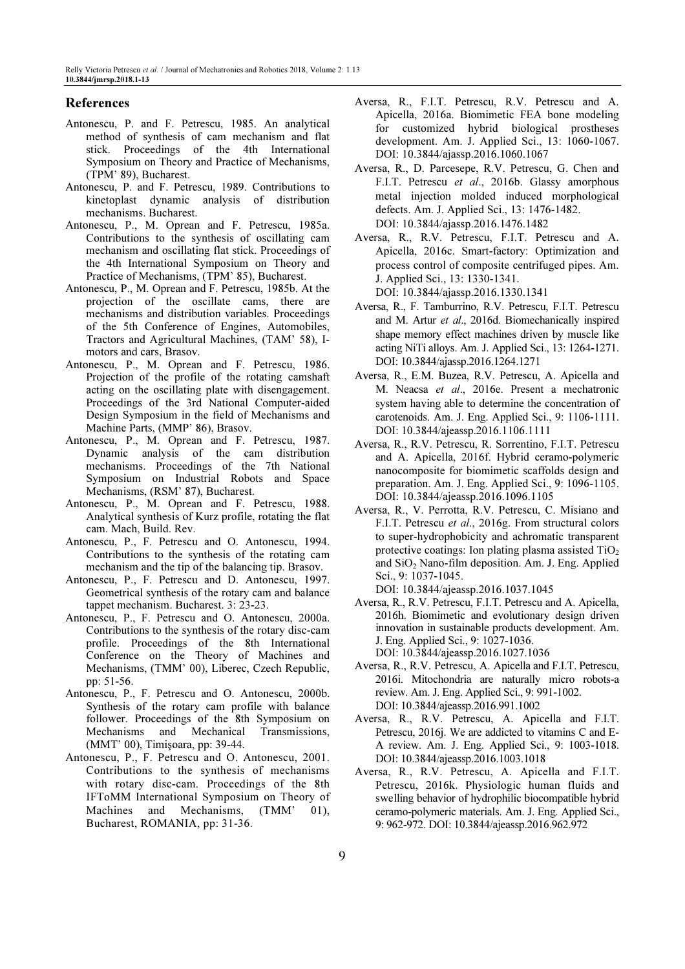### References

- Antonescu, P. and F. Petrescu, 1985. An analytical method of synthesis of cam mechanism and flat stick. Proceedings of the 4th International Symposium on Theory and Practice of Mechanisms, (TPM' 89), Bucharest.
- Antonescu, P. and F. Petrescu, 1989. Contributions to kinetoplast dynamic analysis of distribution mechanisms. Bucharest.
- Antonescu, P., M. Oprean and F. Petrescu, 1985a. Contributions to the synthesis of oscillating cam mechanism and oscillating flat stick. Proceedings of the 4th International Symposium on Theory and Practice of Mechanisms, (TPM' 85), Bucharest.
- Antonescu, P., M. Oprean and F. Petrescu, 1985b. At the projection of the oscillate cams, there are mechanisms and distribution variables. Proceedings of the 5th Conference of Engines, Automobiles, Tractors and Agricultural Machines, (TAM' 58), Imotors and cars, Brasov.
- Antonescu, P., M. Oprean and F. Petrescu, 1986. Projection of the profile of the rotating camshaft acting on the oscillating plate with disengagement. Proceedings of the 3rd National Computer-aided Design Symposium in the field of Mechanisms and Machine Parts, (MMP' 86), Brasov.
- Antonescu, P., M. Oprean and F. Petrescu, 1987. Dynamic analysis of the cam distribution mechanisms. Proceedings of the 7th National Symposium on Industrial Robots and Space Mechanisms, (RSM' 87), Bucharest.
- Antonescu, P., M. Oprean and F. Petrescu, 1988. Analytical synthesis of Kurz profile, rotating the flat cam. Mach, Build. Rev.
- Antonescu, P., F. Petrescu and O. Antonescu, 1994. Contributions to the synthesis of the rotating cam mechanism and the tip of the balancing tip. Brasov.
- Antonescu, P., F. Petrescu and D. Antonescu, 1997. Geometrical synthesis of the rotary cam and balance tappet mechanism. Bucharest. 3: 23-23.
- Antonescu, P., F. Petrescu and O. Antonescu, 2000a. Contributions to the synthesis of the rotary disc-cam profile. Proceedings of the 8th International Conference on the Theory of Machines and Mechanisms, (TMM' 00), Liberec, Czech Republic, pp: 51-56.
- Antonescu, P., F. Petrescu and O. Antonescu, 2000b. Synthesis of the rotary cam profile with balance follower. Proceedings of the 8th Symposium on Mechanisms and Mechanical Transmissions, (MMT' 00), Timişoara, pp: 39-44.
- Antonescu, P., F. Petrescu and O. Antonescu, 2001. Contributions to the synthesis of mechanisms with rotary disc-cam. Proceedings of the 8th IFToMM International Symposium on Theory of Machines and Mechanisms, (TMM' 01), Bucharest, ROMANIA, pp: 31-36.
- Aversa, R., F.I.T. Petrescu, R.V. Petrescu and A. Apicella, 2016a. Biomimetic FEA bone modeling for customized hybrid biological prostheses development. Am. J. Applied Sci., 13: 1060-1067. DOI: 10.3844/ajassp.2016.1060.1067
- Aversa, R., D. Parcesepe, R.V. Petrescu, G. Chen and F.I.T. Petrescu et al., 2016b. Glassy amorphous metal injection molded induced morphological defects. Am. J. Applied Sci., 13: 1476-1482. DOI: 10.3844/ajassp.2016.1476.1482
- Aversa, R., R.V. Petrescu, F.I.T. Petrescu and A. Apicella, 2016c. Smart-factory: Optimization and process control of composite centrifuged pipes. Am. J. Applied Sci., 13: 1330-1341. DOI: 10.3844/ajassp.2016.1330.1341
- Aversa, R., F. Tamburrino, R.V. Petrescu, F.I.T. Petrescu and M. Artur et al., 2016d. Biomechanically inspired shape memory effect machines driven by muscle like acting NiTi alloys. Am. J. Applied Sci., 13: 1264-1271. DOI: 10.3844/ajassp.2016.1264.1271
- Aversa, R., E.M. Buzea, R.V. Petrescu, A. Apicella and M. Neacsa et al., 2016e. Present a mechatronic system having able to determine the concentration of carotenoids. Am. J. Eng. Applied Sci., 9: 1106-1111. DOI: 10.3844/ajeassp.2016.1106.1111
- Aversa, R., R.V. Petrescu, R. Sorrentino, F.I.T. Petrescu and A. Apicella, 2016f. Hybrid ceramo-polymeric nanocomposite for biomimetic scaffolds design and preparation. Am. J. Eng. Applied Sci., 9: 1096-1105. DOI: 10.3844/ajeassp.2016.1096.1105
- Aversa, R., V. Perrotta, R.V. Petrescu, C. Misiano and F.I.T. Petrescu et al., 2016g. From structural colors to super-hydrophobicity and achromatic transparent protective coatings: Ion plating plasma assisted TiO<sub>2</sub> and  $SiO<sub>2</sub>$  Nano-film deposition. Am. J. Eng. Applied Sci., 9: 1037-1045.
	- DOI: 10.3844/ajeassp.2016.1037.1045
- Aversa, R., R.V. Petrescu, F.I.T. Petrescu and A. Apicella, 2016h. Biomimetic and evolutionary design driven innovation in sustainable products development. Am. J. Eng. Applied Sci., 9: 1027-1036. DOI: 10.3844/ajeassp.2016.1027.1036
- Aversa, R., R.V. Petrescu, A. Apicella and F.I.T. Petrescu, 2016i. Mitochondria are naturally micro robots-a review. Am. J. Eng. Applied Sci., 9: 991-1002. DOI: 10.3844/ajeassp.2016.991.1002
- Aversa, R., R.V. Petrescu, A. Apicella and F.I.T. Petrescu, 2016j. We are addicted to vitamins C and E-A review. Am. J. Eng. Applied Sci., 9: 1003-1018. DOI: 10.3844/ajeassp.2016.1003.1018
- Aversa, R., R.V. Petrescu, A. Apicella and F.I.T. Petrescu, 2016k. Physiologic human fluids and swelling behavior of hydrophilic biocompatible hybrid ceramo-polymeric materials. Am. J. Eng. Applied Sci., 9: 962-972. DOI: 10.3844/ajeassp.2016.962.972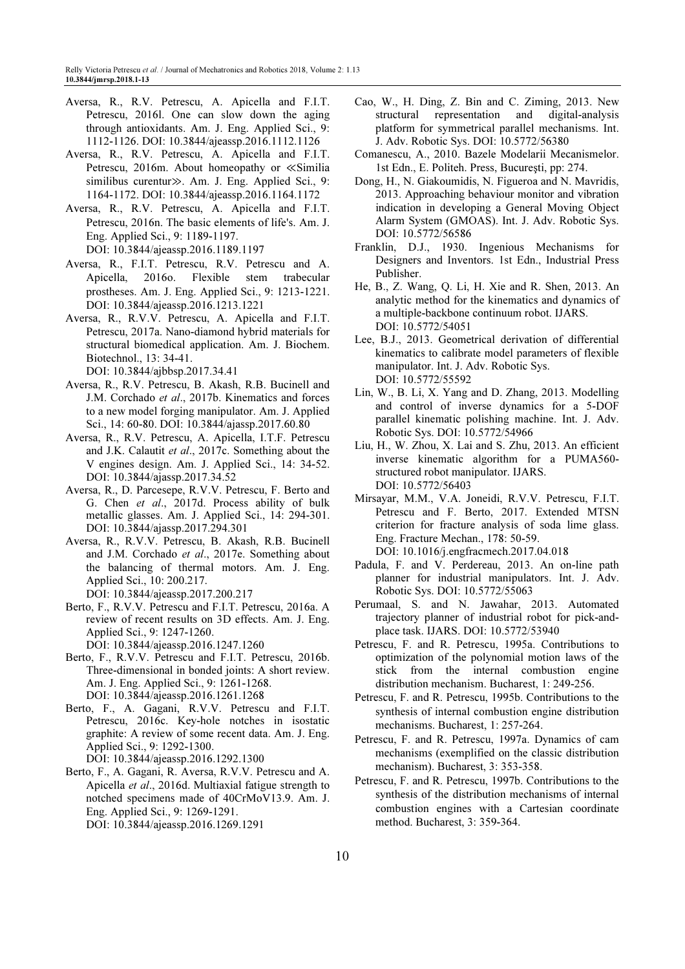- Aversa, R., R.V. Petrescu, A. Apicella and F.I.T. Petrescu, 2016l. One can slow down the aging through antioxidants. Am. J. Eng. Applied Sci., 9: 1112-1126. DOI: 10.3844/ajeassp.2016.1112.1126
- Aversa, R., R.V. Petrescu, A. Apicella and F.I.T. Petrescu, 2016m. About homeopathy or ≪Similia similibus curentur≫. Am. J. Eng. Applied Sci., 9: 1164-1172. DOI: 10.3844/ajeassp.2016.1164.1172
- Aversa, R., R.V. Petrescu, A. Apicella and F.I.T. Petrescu, 2016n. The basic elements of life's. Am. J. Eng. Applied Sci., 9: 1189-1197. DOI: 10.3844/ajeassp.2016.1189.1197
- Aversa, R., F.I.T. Petrescu, R.V. Petrescu and A. Apicella, 2016o. Flexible stem trabecular prostheses. Am. J. Eng. Applied Sci., 9: 1213-1221. DOI: 10.3844/ajeassp.2016.1213.1221
- Aversa, R., R.V.V. Petrescu, A. Apicella and F.I.T. Petrescu, 2017a. Nano-diamond hybrid materials for structural biomedical application. Am. J. Biochem. Biotechnol., 13: 34-41.

DOI: 10.3844/ajbbsp.2017.34.41

- Aversa, R., R.V. Petrescu, B. Akash, R.B. Bucinell and J.M. Corchado et al., 2017b. Kinematics and forces to a new model forging manipulator. Am. J. Applied Sci., 14: 60-80. DOI: 10.3844/ajassp.2017.60.80
- Aversa, R., R.V. Petrescu, A. Apicella, I.T.F. Petrescu and J.K. Calautit et al., 2017c. Something about the V engines design. Am. J. Applied Sci., 14: 34-52. DOI: 10.3844/ajassp.2017.34.52
- Aversa, R., D. Parcesepe, R.V.V. Petrescu, F. Berto and G. Chen et al., 2017d. Process ability of bulk metallic glasses. Am. J. Applied Sci., 14: 294-301. DOI: 10.3844/ajassp.2017.294.301
- Aversa, R., R.V.V. Petrescu, B. Akash, R.B. Bucinell and J.M. Corchado et al., 2017e. Something about the balancing of thermal motors. Am. J. Eng. Applied Sci., 10: 200.217. DOI: 10.3844/ajeassp.2017.200.217
- Berto, F., R.V.V. Petrescu and F.I.T. Petrescu, 2016a. A review of recent results on 3D effects. Am. J. Eng. Applied Sci., 9: 1247-1260. DOI: 10.3844/ajeassp.2016.1247.1260
- Berto, F., R.V.V. Petrescu and F.I.T. Petrescu, 2016b. Three-dimensional in bonded joints: A short review. Am. J. Eng. Applied Sci., 9: 1261-1268. DOI: 10.3844/ajeassp.2016.1261.1268
- Berto, F., A. Gagani, R.V.V. Petrescu and F.I.T. Petrescu, 2016c. Key-hole notches in isostatic graphite: A review of some recent data. Am. J. Eng. Applied Sci., 9: 1292-1300. DOI: 10.3844/ajeassp.2016.1292.1300
- Berto, F., A. Gagani, R. Aversa, R.V.V. Petrescu and A. Apicella et al., 2016d. Multiaxial fatigue strength to notched specimens made of 40CrMoV13.9. Am. J. Eng. Applied Sci., 9: 1269-1291. DOI: 10.3844/ajeassp.2016.1269.1291
- Cao, W., H. Ding, Z. Bin and C. Ziming, 2013. New structural representation and digital-analysis platform for symmetrical parallel mechanisms. Int. J. Adv. Robotic Sys. DOI: 10.5772/56380
- Comanescu, A., 2010. Bazele Modelarii Mecanismelor. 1st Edn., E. Politeh. Press, Bucureşti, pp: 274.
- Dong, H., N. Giakoumidis, N. Figueroa and N. Mavridis, 2013. Approaching behaviour monitor and vibration indication in developing a General Moving Object Alarm System (GMOAS). Int. J. Adv. Robotic Sys. DOI: 10.5772/56586
- Franklin, D.J., 1930. Ingenious Mechanisms for Designers and Inventors. 1st Edn., Industrial Press Publisher.
- He, B., Z. Wang, Q. Li, H. Xie and R. Shen, 2013. An analytic method for the kinematics and dynamics of a multiple-backbone continuum robot. IJARS. DOI: 10.5772/54051
- Lee, B.J., 2013. Geometrical derivation of differential kinematics to calibrate model parameters of flexible manipulator. Int. J. Adv. Robotic Sys. DOI: 10.5772/55592
- Lin, W., B. Li, X. Yang and D. Zhang, 2013. Modelling and control of inverse dynamics for a 5-DOF parallel kinematic polishing machine. Int. J. Adv. Robotic Sys. DOI: 10.5772/54966
- Liu, H., W. Zhou, X. Lai and S. Zhu, 2013. An efficient inverse kinematic algorithm for a PUMA560 structured robot manipulator. IJARS. DOI: 10.5772/56403
- Mirsayar, M.M., V.A. Joneidi, R.V.V. Petrescu, F.I.T. Petrescu and F. Berto, 2017. Extended MTSN criterion for fracture analysis of soda lime glass. Eng. Fracture Mechan., 178: 50-59. DOI: 10.1016/j.engfracmech.2017.04.018
- Padula, F. and V. Perdereau, 2013. An on-line path planner for industrial manipulators. Int. J. Adv. Robotic Sys. DOI: 10.5772/55063
- Perumaal, S. and N. Jawahar, 2013. Automated trajectory planner of industrial robot for pick-andplace task. IJARS. DOI: 10.5772/53940
- Petrescu, F. and R. Petrescu, 1995a. Contributions to optimization of the polynomial motion laws of the stick from the internal combustion engine distribution mechanism. Bucharest, 1: 249-256.
- Petrescu, F. and R. Petrescu, 1995b. Contributions to the synthesis of internal combustion engine distribution mechanisms. Bucharest, 1: 257-264.
- Petrescu, F. and R. Petrescu, 1997a. Dynamics of cam mechanisms (exemplified on the classic distribution mechanism). Bucharest, 3: 353-358.
- Petrescu, F. and R. Petrescu, 1997b. Contributions to the synthesis of the distribution mechanisms of internal combustion engines with a Cartesian coordinate method. Bucharest, 3: 359-364.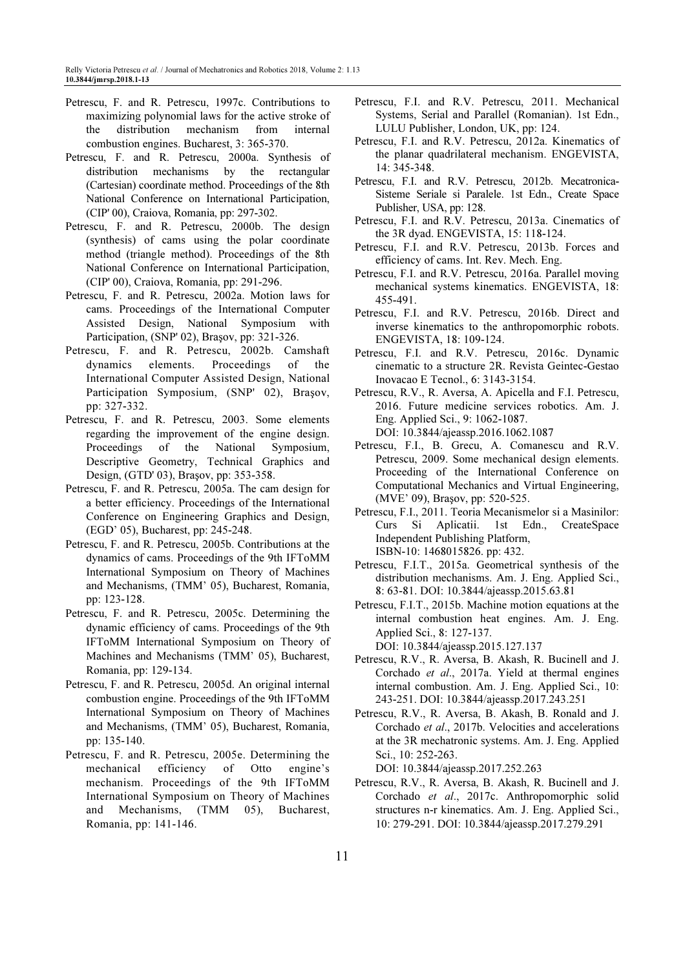- Petrescu, F. and R. Petrescu, 1997c. Contributions to maximizing polynomial laws for the active stroke of the distribution mechanism from internal combustion engines. Bucharest, 3: 365-370.
- Petrescu, F. and R. Petrescu, 2000a. Synthesis of distribution mechanisms by the rectangular (Cartesian) coordinate method. Proceedings of the 8th National Conference on International Participation, (CIP' 00), Craiova, Romania, pp: 297-302.
- Petrescu, F. and R. Petrescu, 2000b. The design (synthesis) of cams using the polar coordinate method (triangle method). Proceedings of the 8th National Conference on International Participation, (CIP' 00), Craiova, Romania, pp: 291-296.
- Petrescu, F. and R. Petrescu, 2002a. Motion laws for cams. Proceedings of the International Computer Assisted Design, National Symposium with Participation, (SNP' 02), Braşov, pp: 321-326.
- Petrescu, F. and R. Petrescu, 2002b. Camshaft dynamics elements. Proceedings of the International Computer Assisted Design, National Participation Symposium, (SNP' 02), Braşov, pp: 327-332.
- Petrescu, F. and R. Petrescu, 2003. Some elements regarding the improvement of the engine design. Proceedings of the National Symposium, Descriptive Geometry, Technical Graphics and Design, (GTD' 03), Braşov, pp: 353-358.
- Petrescu, F. and R. Petrescu, 2005a. The cam design for a better efficiency. Proceedings of the International Conference on Engineering Graphics and Design, (EGD' 05), Bucharest, pp: 245-248.
- Petrescu, F. and R. Petrescu, 2005b. Contributions at the dynamics of cams. Proceedings of the 9th IFToMM International Symposium on Theory of Machines and Mechanisms, (TMM' 05), Bucharest, Romania, pp: 123-128.
- Petrescu, F. and R. Petrescu, 2005c. Determining the dynamic efficiency of cams. Proceedings of the 9th IFToMM International Symposium on Theory of Machines and Mechanisms (TMM' 05), Bucharest, Romania, pp: 129-134.
- Petrescu, F. and R. Petrescu, 2005d. An original internal combustion engine. Proceedings of the 9th IFToMM International Symposium on Theory of Machines and Mechanisms, (TMM' 05), Bucharest, Romania, pp: 135-140.
- Petrescu, F. and R. Petrescu, 2005e. Determining the mechanical efficiency of Otto engine's mechanism. Proceedings of the 9th IFToMM International Symposium on Theory of Machines and Mechanisms, (TMM 05), Bucharest, Romania, pp: 141-146.
- Petrescu, F.I. and R.V. Petrescu, 2011. Mechanical Systems, Serial and Parallel (Romanian). 1st Edn., LULU Publisher, London, UK, pp: 124.
- Petrescu, F.I. and R.V. Petrescu, 2012a. Kinematics of the planar quadrilateral mechanism. ENGEVISTA, 14: 345-348.
- Petrescu, F.I. and R.V. Petrescu, 2012b. Mecatronica-Sisteme Seriale si Paralele. 1st Edn., Create Space Publisher, USA, pp: 128.
- Petrescu, F.I. and R.V. Petrescu, 2013a. Cinematics of the 3R dyad. ENGEVISTA, 15: 118-124.
- Petrescu, F.I. and R.V. Petrescu, 2013b. Forces and efficiency of cams. Int. Rev. Mech. Eng.
- Petrescu, F.I. and R.V. Petrescu, 2016a. Parallel moving mechanical systems kinematics. ENGEVISTA, 18: 455-491.
- Petrescu, F.I. and R.V. Petrescu, 2016b. Direct and inverse kinematics to the anthropomorphic robots. ENGEVISTA, 18: 109-124.
- Petrescu, F.I. and R.V. Petrescu, 2016c. Dynamic cinematic to a structure 2R. Revista Geintec-Gestao Inovacao E Tecnol., 6: 3143-3154.
- Petrescu, R.V., R. Aversa, A. Apicella and F.I. Petrescu, 2016. Future medicine services robotics. Am. J. Eng. Applied Sci., 9: 1062-1087. DOI: 10.3844/ajeassp.2016.1062.1087
- Petrescu, F.I., B. Grecu, A. Comanescu and R.V. Petrescu, 2009. Some mechanical design elements. Proceeding of the International Conference on Computational Mechanics and Virtual Engineering, (MVE' 09), Braşov, pp: 520-525.
- Petrescu, F.I., 2011. Teoria Mecanismelor si a Masinilor: Curs Si Aplicatii. 1st Edn., CreateSpace Independent Publishing Platform, ISBN-10: 1468015826. pp: 432.
- Petrescu, F.I.T., 2015a. Geometrical synthesis of the distribution mechanisms. Am. J. Eng. Applied Sci., 8: 63-81. DOI: 10.3844/ajeassp.2015.63.81
- Petrescu, F.I.T., 2015b. Machine motion equations at the internal combustion heat engines. Am. J. Eng. Applied Sci., 8: 127-137. DOI: 10.3844/ajeassp.2015.127.137
- Petrescu, R.V., R. Aversa, B. Akash, R. Bucinell and J. Corchado et al., 2017a. Yield at thermal engines internal combustion. Am. J. Eng. Applied Sci., 10: 243-251. DOI: 10.3844/ajeassp.2017.243.251
- Petrescu, R.V., R. Aversa, B. Akash, B. Ronald and J. Corchado et al., 2017b. Velocities and accelerations at the 3R mechatronic systems. Am. J. Eng. Applied Sci., 10: 252-263.

DOI: 10.3844/ajeassp.2017.252.263

Petrescu, R.V., R. Aversa, B. Akash, R. Bucinell and J. Corchado et al., 2017c. Anthropomorphic solid structures n-r kinematics. Am. J. Eng. Applied Sci., 10: 279-291. DOI: 10.3844/ajeassp.2017.279.291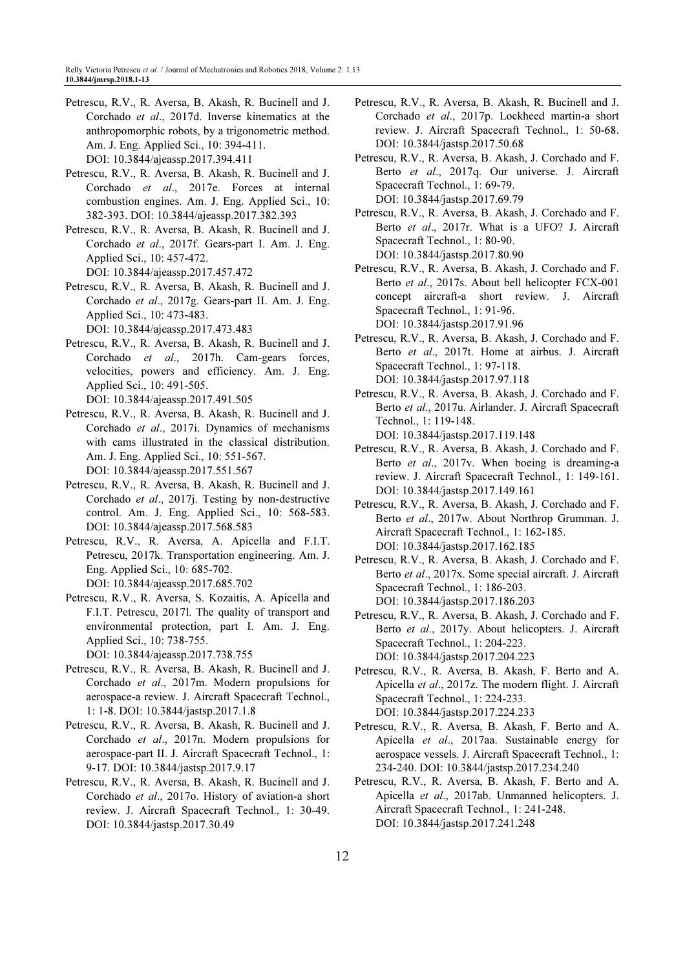- Petrescu, R.V., R. Aversa, B. Akash, R. Bucinell and J. Corchado et al., 2017d. Inverse kinematics at the anthropomorphic robots, by a trigonometric method. Am. J. Eng. Applied Sci., 10: 394-411. DOI: 10.3844/ajeassp.2017.394.411
- Petrescu, R.V., R. Aversa, B. Akash, R. Bucinell and J. Corchado et al., 2017e. Forces at internal combustion engines. Am. J. Eng. Applied Sci., 10: 382-393. DOI: 10.3844/ajeassp.2017.382.393
- Petrescu, R.V., R. Aversa, B. Akash, R. Bucinell and J. Corchado et al., 2017f. Gears-part I. Am. J. Eng. Applied Sci., 10: 457-472. DOI: 10.3844/ajeassp.2017.457.472
- Petrescu, R.V., R. Aversa, B. Akash, R. Bucinell and J. Corchado et al., 2017g. Gears-part II. Am. J. Eng. Applied Sci., 10: 473-483. DOI: 10.3844/ajeassp.2017.473.483
- Petrescu, R.V., R. Aversa, B. Akash, R. Bucinell and J. Corchado et al., 2017h. Cam-gears forces, velocities, powers and efficiency. Am. J. Eng. Applied Sci., 10: 491-505. DOI: 10.3844/ajeassp.2017.491.505
- Petrescu, R.V., R. Aversa, B. Akash, R. Bucinell and J. Corchado et al., 2017i. Dynamics of mechanisms with cams illustrated in the classical distribution. Am. J. Eng. Applied Sci., 10: 551-567. DOI: 10.3844/ajeassp.2017.551.567
- Petrescu, R.V., R. Aversa, B. Akash, R. Bucinell and J. Corchado et al., 2017j. Testing by non-destructive control. Am. J. Eng. Applied Sci., 10: 568-583. DOI: 10.3844/ajeassp.2017.568.583
- Petrescu, R.V., R. Aversa, A. Apicella and F.I.T. Petrescu, 2017k. Transportation engineering. Am. J. Eng. Applied Sci., 10: 685-702. DOI: 10.3844/ajeassp.2017.685.702
- Petrescu, R.V., R. Aversa, S. Kozaitis, A. Apicella and F.I.T. Petrescu, 2017l. The quality of transport and environmental protection, part I. Am. J. Eng. Applied Sci., 10: 738-755.

DOI: 10.3844/ajeassp.2017.738.755

- Petrescu, R.V., R. Aversa, B. Akash, R. Bucinell and J. Corchado et al., 2017m. Modern propulsions for aerospace-a review. J. Aircraft Spacecraft Technol., 1: 1-8. DOI: 10.3844/jastsp.2017.1.8
- Petrescu, R.V., R. Aversa, B. Akash, R. Bucinell and J. Corchado et al., 2017n. Modern propulsions for aerospace-part II. J. Aircraft Spacecraft Technol., 1: 9-17. DOI: 10.3844/jastsp.2017.9.17
- Petrescu, R.V., R. Aversa, B. Akash, R. Bucinell and J. Corchado et al., 2017o. History of aviation-a short review. J. Aircraft Spacecraft Technol., 1: 30-49. DOI: 10.3844/jastsp.2017.30.49
- Petrescu, R.V., R. Aversa, B. Akash, R. Bucinell and J. Corchado et al., 2017p. Lockheed martin-a short review. J. Aircraft Spacecraft Technol., 1: 50-68. DOI: 10.3844/jastsp.2017.50.68
- Petrescu, R.V., R. Aversa, B. Akash, J. Corchado and F. Berto et al., 2017q. Our universe. J. Aircraft Spacecraft Technol., 1: 69-79. DOI: 10.3844/jastsp.2017.69.79
- Petrescu, R.V., R. Aversa, B. Akash, J. Corchado and F. Berto et al., 2017r. What is a UFO? J. Aircraft Spacecraft Technol., 1: 80-90. DOI: 10.3844/jastsp.2017.80.90
- Petrescu, R.V., R. Aversa, B. Akash, J. Corchado and F. Berto et al., 2017s. About bell helicopter FCX-001 concept aircraft-a short review. J. Aircraft Spacecraft Technol., 1: 91-96. DOI: 10.3844/jastsp.2017.91.96
- Petrescu, R.V., R. Aversa, B. Akash, J. Corchado and F. Berto et al., 2017t. Home at airbus. J. Aircraft Spacecraft Technol., 1: 97-118. DOI: 10.3844/jastsp.2017.97.118
- Petrescu, R.V., R. Aversa, B. Akash, J. Corchado and F. Berto et al., 2017u. Airlander. J. Aircraft Spacecraft Technol., 1: 119-148. DOI: 10.3844/jastsp.2017.119.148
- Petrescu, R.V., R. Aversa, B. Akash, J. Corchado and F. Berto et al., 2017v. When boeing is dreaming-a review. J. Aircraft Spacecraft Technol., 1: 149-161. DOI: 10.3844/jastsp.2017.149.161
- Petrescu, R.V., R. Aversa, B. Akash, J. Corchado and F. Berto et al., 2017w. About Northrop Grumman. J. Aircraft Spacecraft Technol., 1: 162-185. DOI: 10.3844/jastsp.2017.162.185
- Petrescu, R.V., R. Aversa, B. Akash, J. Corchado and F. Berto et al., 2017x. Some special aircraft. J. Aircraft Spacecraft Technol., 1: 186-203. DOI: 10.3844/jastsp.2017.186.203
- Petrescu, R.V., R. Aversa, B. Akash, J. Corchado and F. Berto et al., 2017y. About helicopters. J. Aircraft Spacecraft Technol., 1: 204-223. DOI: 10.3844/jastsp.2017.204.223
- Petrescu, R.V., R. Aversa, B. Akash, F. Berto and A. Apicella et al., 2017z. The modern flight. J. Aircraft Spacecraft Technol., 1: 224-233. DOI: 10.3844/jastsp.2017.224.233
- Petrescu, R.V., R. Aversa, B. Akash, F. Berto and A. Apicella et al., 2017aa. Sustainable energy for aerospace vessels. J. Aircraft Spacecraft Technol., 1: 234-240. DOI: 10.3844/jastsp.2017.234.240
- Petrescu, R.V., R. Aversa, B. Akash, F. Berto and A. Apicella et al., 2017ab. Unmanned helicopters. J. Aircraft Spacecraft Technol., 1: 241-248. DOI: 10.3844/jastsp.2017.241.248